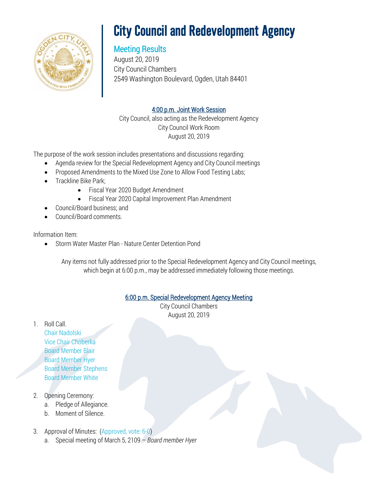

# **City Council and Redevelopment Agency**

# Meeting Results

August 20, 2019 City Council Chambers 2549 Washington Boulevard, Ogden, Utah 84401

# 4:00 p.m. Joint Work Session

City Council, also acting as the Redevelopment Agency City Council Work Room August 20, 2019

The purpose of the work session includes presentations and discussions regarding:

- Agenda review for the Special Redevelopment Agency and City Council meetings
- Proposed Amendments to the Mixed Use Zone to Allow Food Testing Labs;
- Trackline Bike Park;
	- Fiscal Year 2020 Budget Amendment
	- Fiscal Year 2020 Capital Improvement Plan Amendment
- Council/Board business; and
- Council/Board comments.

### Information Item:

• Storm Water Master Plan - Nature Center Detention Pond

Any items not fully addressed prior to the Special Redevelopment Agency and City Council meetings, which begin at 6:00 p.m., may be addressed immediately following those meetings.

# 6:00 p.m. Special Redevelopment Agency Meeting

City Council Chambers August 20, 2019

1. Roll Call.

Chair Nadolski Vice Chair Choberka Board Member Blair Board Member Hyer Board Member Stephens Board Member White

# 2. Opening Ceremony:

- a. Pledge of Allegiance.
- b. Moment of Silence.
- 3. Approval of Minutes: (Approved, vote: 6-0)
	- a. Special meeting of March 5, 2109 *Board member Hyer*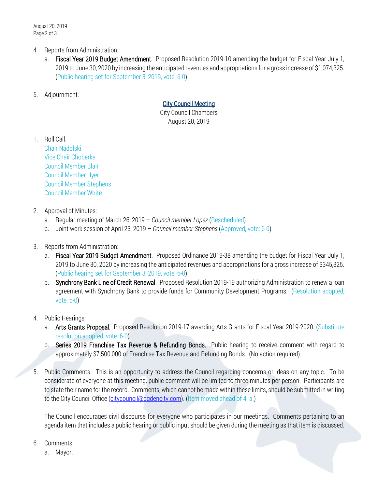- 4. Reports from Administration:
	- a. Fiscal Year 2019 Budget Amendment. Proposed Resolution 2019-10 amending the budget for Fiscal Year July 1, 2019 to June 30, 2020 by increasing the anticipated revenues and appropriations for a gross increase of \$1,074,325. (Public hearing set for September 3, 2019, vote: 6-0)
- 5. Adjournment.

#### City Council Meeting

City Council Chambers August 20, 2019

1. Roll Call.

Chair Nadolski Vice Chair Choberka Council Member Blair Council Member Hyer Council Member Stephens Council Member White

#### 2. Approval of Minutes:

- a. Regular meeting of March 26, 2019 *Council member Lopez* (Rescheduled)
- b. Joint work session of April 23, 2019 *Council member Stephens* (Approved, vote: 6-0)
- 3. Reports from Administration:
	- a. Fiscal Year 2019 Budget Amendment. Proposed Ordinance 2019-38 amending the budget for Fiscal Year July 1, 2019 to June 30, 2020 by increasing the anticipated revenues and appropriations for a gross increase of \$345,325. (Public hearing set for September 3, 2019, vote: 6-0)
	- b. Synchrony Bank Line of Credit Renewal. Proposed Resolution 2019-19 authorizing Administration to renew a loan agreement with Synchrony Bank to provide funds for Community Development Programs. (Resolution adopted, vote: 6-0)

#### 4. Public Hearings:

- a. Arts Grants Proposal. Proposed Resolution 2019-17 awarding Arts Grants for Fiscal Year 2019-2020. (Substitute resolution adopted, vote: 6-0)
- b. Series 2019 Franchise Tax Revenue & Refunding Bonds. Public hearing to receive comment with regard to approximately \$7,500,000 of Franchise Tax Revenue and Refunding Bonds. (No action required)
- 5. Public Comments. This is an opportunity to address the Council regarding concerns or ideas on any topic. To be considerate of everyone at this meeting, public comment will be limited to three minutes per person. Participants are to state their name for the record. Comments, which cannot be made within these limits, should be submitted in writing to the City Council Office [\(citycouncil@ogdencity.com\)](mailto:citycouncil@ogdencity.com). (Item moved ahead of 4. a.)

The Council encourages civil discourse for everyone who participates in our meetings. Comments pertaining to an agenda item that includes a public hearing or public input should be given during the meeting as that item is discussed.

- 6. Comments:
	- a. Mayor.